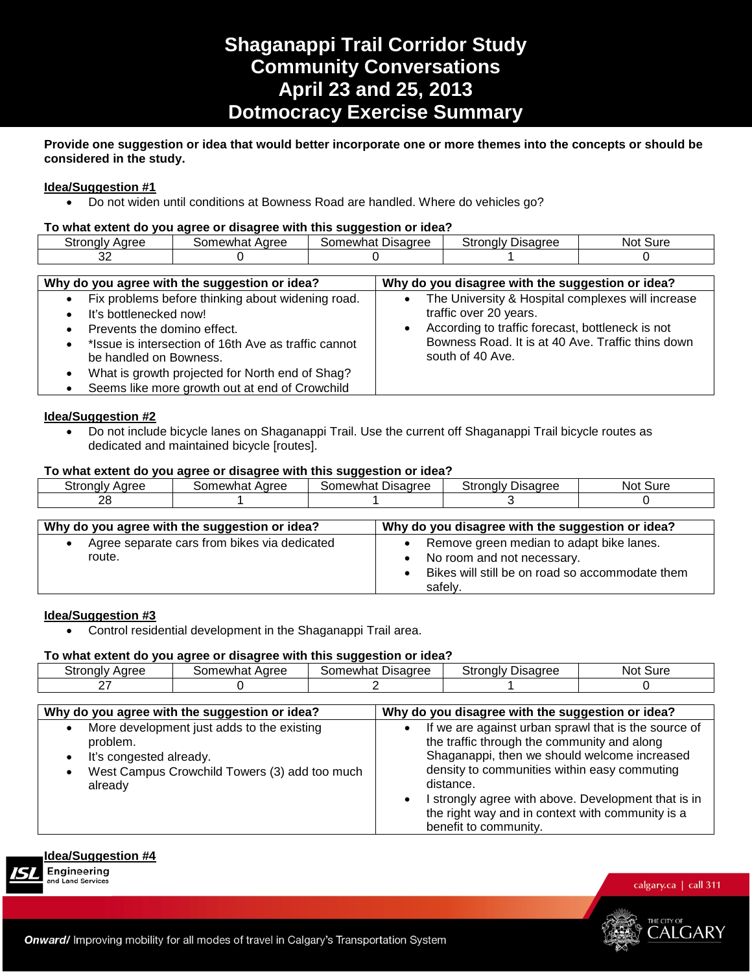# **Shaganappi Trail Corridor Study Community Conversations April 23 and 25, 2013 Dotmocracy Exercise Summary**

# **Provide one suggestion or idea that would better incorporate one or more themes into the concepts or should be considered in the study.**

# **Idea/Suggestion #1**

• Do not widen until conditions at Bowness Road are handled. Where do vehicles go?

#### **To what extent do you agree or disagree with this suggestion or idea?**

|                         |                                      | . .                |                                        |              |
|-------------------------|--------------------------------------|--------------------|----------------------------------------|--------------|
| stronaly<br>Aaree<br>ືເ | . Adree<br><b>AWI</b><br>$-1$<br>паг | Jisaaree<br>าewnat | `tronalv⊥<br><b>Jisagree</b><br>- 21 1 | Sure<br>NO). |
| ົ<br>ັ                  |                                      |                    |                                        |              |
|                         |                                      |                    |                                        |              |

| Why do you agree with the suggestion or idea?                                                                                                                                                                                                                                                                  | Why do you disagree with the suggestion or idea?                                                                                                                                                         |
|----------------------------------------------------------------------------------------------------------------------------------------------------------------------------------------------------------------------------------------------------------------------------------------------------------------|----------------------------------------------------------------------------------------------------------------------------------------------------------------------------------------------------------|
| Fix problems before thinking about widening road.<br>$\bullet$<br>It's bottlenecked now!<br>Prevents the domino effect.<br>*Issue is intersection of 16th Ave as traffic cannot<br>be handled on Bowness.<br>What is growth projected for North end of Shag?<br>Seems like more growth out at end of Crowchild | The University & Hospital complexes will increase<br>traffic over 20 years.<br>According to traffic forecast, bottleneck is not<br>Bowness Road. It is at 40 Ave. Traffic thins down<br>south of 40 Ave. |

# **Idea/Suggestion #2**

• Do not include bicycle lanes on Shaganappi Trail. Use the current off Shaganappi Trail bicycle routes as dedicated and maintained bicycle [routes].

# **To what extent do you agree or disagree with this suggestion or idea?**

| Strongly<br>Aaree | Aaree<br>$\cdots$<br>~~<br>ำewha⊾ | $\sim$<br>Disagree<br>⊰omewhat | Ptronaly ∟<br><b>Jisadree</b> | Sure<br>NOL. |
|-------------------|-----------------------------------|--------------------------------|-------------------------------|--------------|
| ററ<br>∠∪          |                                   |                                |                               |              |
|                   |                                   |                                |                               |              |

| Why do you agree with the suggestion or idea?          | Why do you disagree with the suggestion or idea?                                                                                     |
|--------------------------------------------------------|--------------------------------------------------------------------------------------------------------------------------------------|
| Agree separate cars from bikes via dedicated<br>route. | Remove green median to adapt bike lanes.<br>No room and not necessary.<br>Bikes will still be on road so accommodate them<br>safely. |

# **Idea/Suggestion #3**

• Control residential development in the Shaganappi Trail area.

#### **To what extent do you agree or disagree with this suggestion or idea?**

| Stronaly | Aaree    | Disagree | Strongly | . Sure |
|----------|----------|----------|----------|--------|
| Aaree    | iomewhat | Somewhat | Uisaaree | Not.   |
| -        |          |          |          |        |

| Why do you agree with the suggestion or idea?                                                                                                 | Why do you disagree with the suggestion or idea?                                                                                                                                                                                                                                                                                                                  |
|-----------------------------------------------------------------------------------------------------------------------------------------------|-------------------------------------------------------------------------------------------------------------------------------------------------------------------------------------------------------------------------------------------------------------------------------------------------------------------------------------------------------------------|
| More development just adds to the existing<br>problem.<br>It's congested already.<br>West Campus Crowchild Towers (3) add too much<br>already | If we are against urban sprawl that is the source of<br>the traffic through the community and along<br>Shaganappi, then we should welcome increased<br>density to communities within easy commuting<br>distance.<br>I strongly agree with above. Development that is in<br>$\bullet$<br>the right way and in context with community is a<br>benefit to community. |

# **Idea/Suggestion #4**

and Land Services



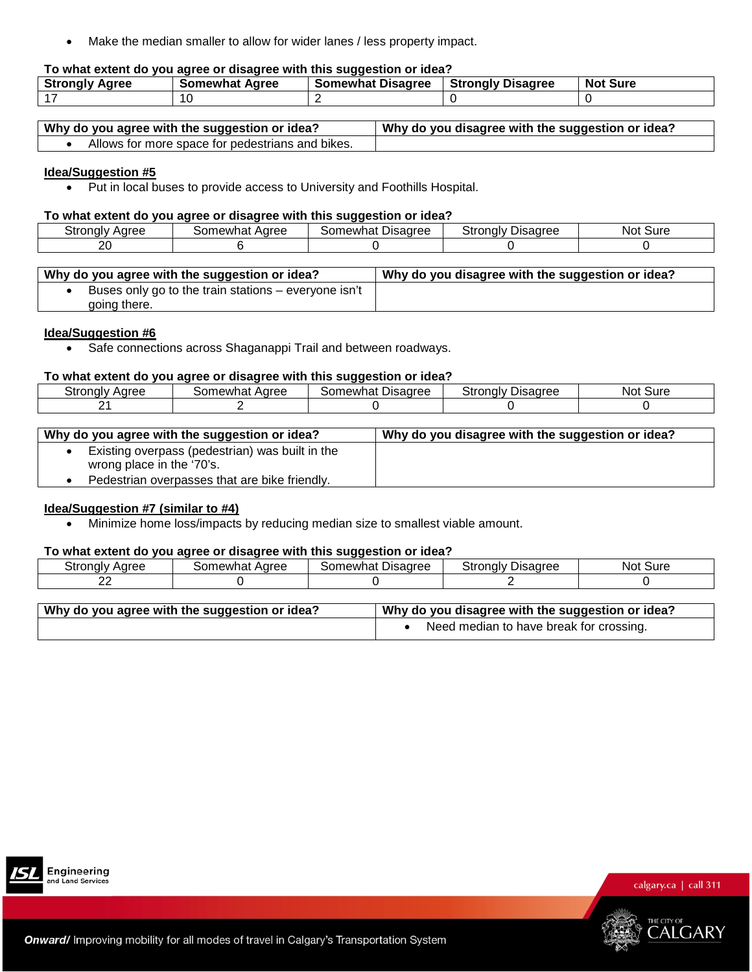• Make the median smaller to allow for wider lanes / less property impact.

# **To what extent do you agree or disagree with this suggestion or idea?**

| <b>Strongly</b> | Somewhat | <b>Disagree</b> | <b>Strongly Disagree</b> | <b>No</b> |
|-----------------|----------|-----------------|--------------------------|-----------|
| Aaree           | Agree    | Somewhat        |                          | Sure      |
| $\rightarrow$   | 1 U      |                 |                          |           |

| Why do you agree with the suggestion or idea?    | Why do you disagree with the suggestion or idea? |
|--------------------------------------------------|--------------------------------------------------|
| Allows for more space for pedestrians and bikes. |                                                  |

#### **Idea/Suggestion #5**

• Put in local buses to provide access to University and Foothills Hospital.

# **To what extent do you agree or disagree with this suggestion or idea?**

| Stronaly | Aaree    | Disagree | Stronaly | Sure |
|----------|----------|----------|----------|------|
| Aaree    | Somewhat | Somewhat | Jisaaree | Not. |
| or<br>∠∪ |          |          |          |      |

| Why do you agree with the suggestion or idea?        | Why do you disagree with the suggestion or idea? |
|------------------------------------------------------|--------------------------------------------------|
| Buses only go to the train stations – everyone isn't |                                                  |
| going there.                                         |                                                  |

#### **Idea/Suggestion #6**

• Safe connections across Shaganappi Trail and between roadways.

#### **To what extent do you agree or disagree with this suggestion or idea?**

|                                    |                        | . .                   |                      |              |
|------------------------------------|------------------------|-----------------------|----------------------|--------------|
| $\sim$<br><b>Strongly</b><br>Aaree | Aaree<br>newhat<br>orد | Disagree<br>: omewhat | Strongly<br>Jisaaree | Sure<br>Not. |
| -                                  |                        |                       |                      |              |

| Why do you agree with the suggestion or idea?                                | Why do you disagree with the suggestion or idea? |
|------------------------------------------------------------------------------|--------------------------------------------------|
| Existing overpass (pedestrian) was built in the<br>wrong place in the '70's. |                                                  |
| Pedestrian overpasses that are bike friendly.                                |                                                  |

#### **Idea/Suggestion #7 (similar to #4)**

• Minimize home loss/impacts by reducing median size to smallest viable amount.

#### **To what extent do you agree or disagree with this suggestion or idea?**

| Aaree<br>nalv<br>־ייוט | . Adrec<br>าewhat<br>זו ז | --<br>Disagree<br>.<br>$\sim$<br>newr<br>лаг: | Jisaaree<br>$-1 - 1$<br>∴∪nal∨ '<br>Οl | Sure<br>INOT |
|------------------------|---------------------------|-----------------------------------------------|----------------------------------------|--------------|
| $\sim$<br><u>. .</u>   |                           |                                               |                                        |              |

| . Why do you agree with the suggestion or idea? | Why do you disagree with the suggestion or idea? |
|-------------------------------------------------|--------------------------------------------------|
|                                                 | Need median to have break for crossing.          |



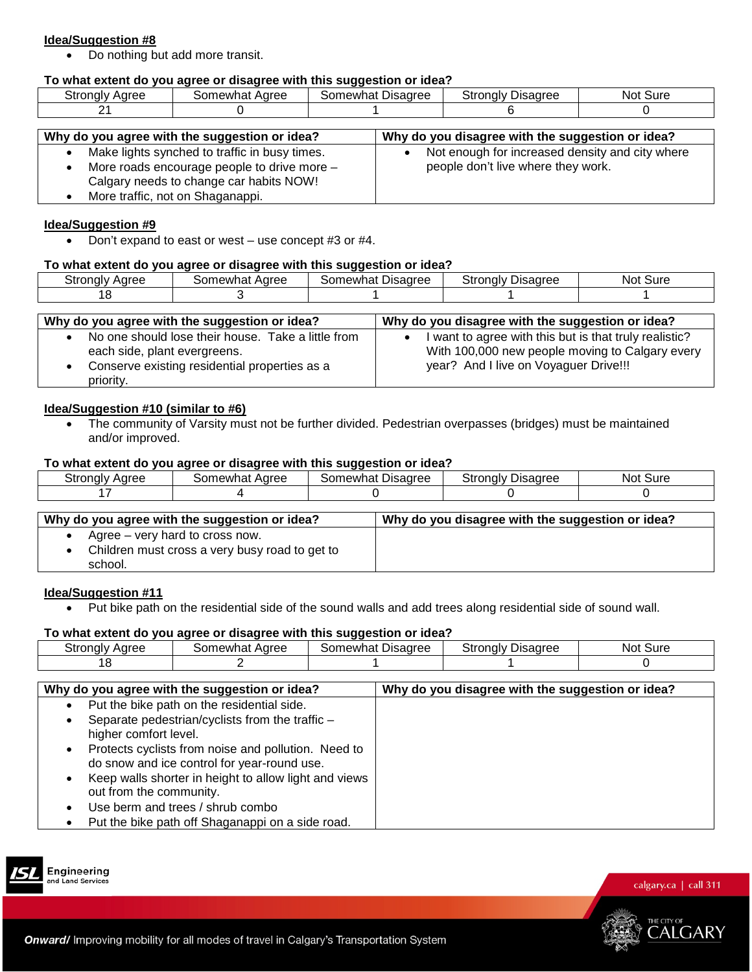• Do nothing but add more transit.

# **To what extent do you agree or disagree with this suggestion or idea?**

| stronalv<br>Aaree | Aaree<br>or.<br>newhat | $\overline{\phantom{a}}$<br>Disagree<br>`orد<br>.∩ewhat∶ | Stronalv<br>Disagree | ∵Sure<br>Not. |
|-------------------|------------------------|----------------------------------------------------------|----------------------|---------------|
| ົ້<br>-           |                        |                                                          |                      |               |

| Why do you agree with the suggestion or idea?                                                                                           | Why do you disagree with the suggestion or idea?                                      |
|-----------------------------------------------------------------------------------------------------------------------------------------|---------------------------------------------------------------------------------------|
| Make lights synched to traffic in busy times.<br>More roads encourage people to drive more -<br>Calgary needs to change car habits NOW! | Not enough for increased density and city where<br>people don't live where they work. |
| More traffic, not on Shaganappi.                                                                                                        |                                                                                       |

#### **Idea/Suggestion #9**

• Don't expand to east or west – use concept #3 or #4.

#### **To what extent do you agree or disagree with this suggestion or idea?**

| ≛.<br>Aaree<br>َ tronaly د | Aaree<br>iomewhat<br>ાતા | $\sim$<br>Disagree<br>omewhatذ | Stronaly<br>Disadree | Sure<br>NOL |
|----------------------------|--------------------------|--------------------------------|----------------------|-------------|
| u                          |                          |                                |                      |             |
|                            |                          |                                |                      |             |

| Why do you agree with the suggestion or idea?                                                                                                    | Why do you disagree with the suggestion or idea?                                                                                                   |
|--------------------------------------------------------------------------------------------------------------------------------------------------|----------------------------------------------------------------------------------------------------------------------------------------------------|
| No one should lose their house. Take a little from<br>each side, plant evergreens.<br>Conserve existing residential properties as a<br>priority. | I want to agree with this but is that truly realistic?<br>With 100,000 new people moving to Calgary every<br>year? And I live on Voyaguer Drive!!! |

#### **Idea/Suggestion #10 (similar to #6)**

• The community of Varsity must not be further divided. Pedestrian overpasses (bridges) must be maintained and/or improved.

#### **To what extent do you agree or disagree with this suggestion or idea?**

| `*rona∟<br><b>ACTEC</b><br>৴い | Aaree<br>newhat<br>ו זו | Disagree<br>าewhat | Stronaly L<br>عمين معياد<br>sauree<br>ບເ | ur،ض<br>NOt |
|-------------------------------|-------------------------|--------------------|------------------------------------------|-------------|
|                               |                         |                    |                                          |             |

| Why do you agree with the suggestion or idea?                                                | Why do you disagree with the suggestion or idea? |
|----------------------------------------------------------------------------------------------|--------------------------------------------------|
| Agree – very hard to cross now.<br>Children must cross a very busy road to get to<br>school. |                                                  |

#### **Idea/Suggestion #11**

• Put bike path on the residential side of the sound walls and add trees along residential side of sound wall.

#### **To what extent do you agree or disagree with this suggestion or idea?**

|                    |                                            | - -                            |                                                                                            |             |
|--------------------|--------------------------------------------|--------------------------------|--------------------------------------------------------------------------------------------|-------------|
| ∵ronalv ,<br>Aaree | haree<br>๛<br><b>PAW.</b><br>$\sim$<br>наι | Jisaaree<br>newh<br>i∩n<br>па. | $\overline{\phantom{a}}$<br>$\mathcal{L}_{\mathcal{L}}$<br>.<br>11 C<br>no<br>יוכ<br>sauee | Sure<br>Not |
|                    |                                            |                                |                                                                                            |             |
|                    |                                            |                                |                                                                                            |             |

| Why do you agree with the suggestion or idea?              | Why do you disagree with the suggestion or idea? |
|------------------------------------------------------------|--------------------------------------------------|
| Put the bike path on the residential side.                 |                                                  |
| Separate pedestrian/cyclists from the traffic -            |                                                  |
| higher comfort level.                                      |                                                  |
| Protects cyclists from noise and pollution. Need to        |                                                  |
| do snow and ice control for year-round use.                |                                                  |
| Keep walls shorter in height to allow light and views<br>٠ |                                                  |
| out from the community.                                    |                                                  |
| Use berm and trees / shrub combo                           |                                                  |
| Put the bike path off Shaganappi on a side road.           |                                                  |



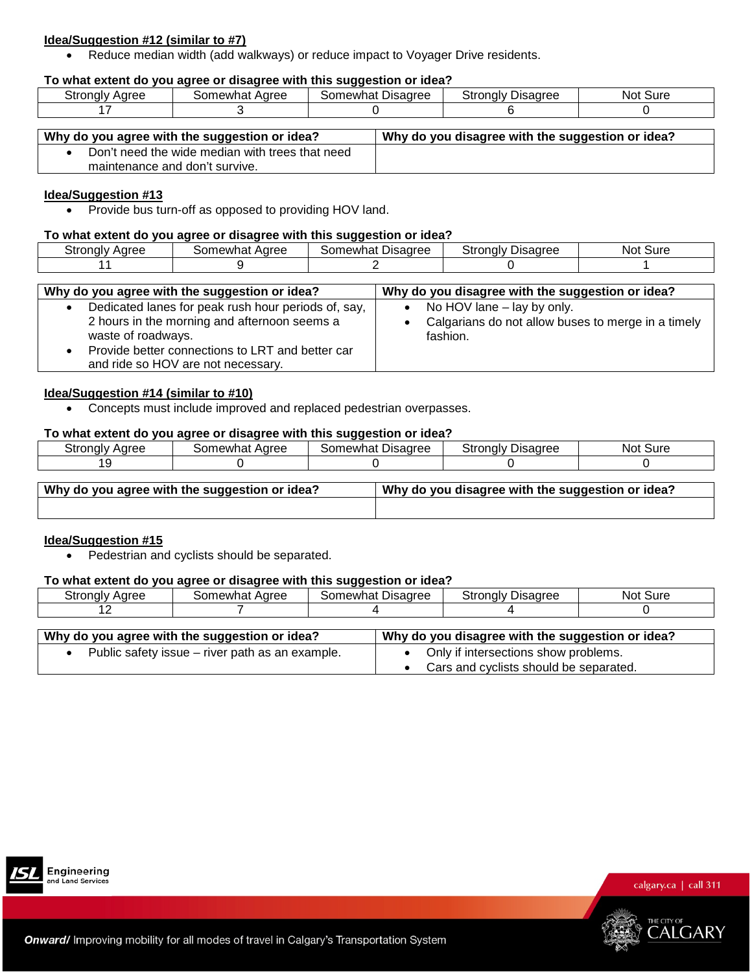# **Idea/Suggestion #12 (similar to #7)**

• Reduce median width (add walkways) or reduce impact to Voyager Drive residents.

# **To what extent do you agree or disagree with this suggestion or idea?**

| Stronalv | Somewhat | Disagree | Stronaly | Sure |
|----------|----------|----------|----------|------|
| Aaree    | Aaree    | Somewhat | Disadree | Not  |
|          |          |          |          |      |

| Why do you agree with the suggestion or idea?   | Why do you disagree with the suggestion or idea? |
|-------------------------------------------------|--------------------------------------------------|
| Don't need the wide median with trees that need |                                                  |
| maintenance and don't survive.                  |                                                  |

#### **Idea/Suggestion #13**

• Provide bus turn-off as opposed to providing HOV land.

#### **To what extent do you agree or disagree with this suggestion or idea?**

| Aaree<br>-<br>u onaiv<br>'اد. | Aaree<br>newhat | --<br>Disagree<br>newhat<br>.som | stronalv<br>Disaαree<br>JН<br>. . | Sure<br>NOt |
|-------------------------------|-----------------|----------------------------------|-----------------------------------|-------------|
|                               |                 |                                  |                                   |             |

| Why do you agree with the suggestion or idea?                                                                                                                                                                       | Why do you disagree with the suggestion or idea?                                             |
|---------------------------------------------------------------------------------------------------------------------------------------------------------------------------------------------------------------------|----------------------------------------------------------------------------------------------|
| Dedicated lanes for peak rush hour periods of, say,<br>2 hours in the morning and afternoon seems a<br>waste of roadways.<br>Provide better connections to LRT and better car<br>and ride so HOV are not necessary. | No HOV lane – lay by only.<br>Calgarians do not allow buses to merge in a timely<br>fashion. |

# **Idea/Suggestion #14 (similar to #10)**

• Concepts must include improved and replaced pedestrian overpasses.

#### **To what extent do you agree or disagree with this suggestion or idea?**

| uronalv۔<br>Aaree | Aaree<br>mewhat,<br>∍or | . Disadree<br>≾omewhat | $\sim$<br>-<br>Jisaaree<br>onalv<br>υ۱ι<br>w | .<br>NO.<br>oure |
|-------------------|-------------------------|------------------------|----------------------------------------------|------------------|
|                   |                         |                        |                                              |                  |
|                   |                         |                        |                                              |                  |

| Why do you agree with the suggestion or idea? | Why do you disagree with the suggestion or idea? |
|-----------------------------------------------|--------------------------------------------------|
|                                               |                                                  |

# **Idea/Suggestion #15**

• Pedestrian and cyclists should be separated.

#### **To what extent do you agree or disagree with this suggestion or idea?**

| Aaree<br>strongly | Aaree<br>Somewhat. | --<br>$-$<br>Somewhat Disagree | ीtrongly ∟<br><b>Disagree</b> | Sure<br>NΟι |
|-------------------|--------------------|--------------------------------|-------------------------------|-------------|
| -                 |                    |                                |                               |             |
|                   |                    |                                |                               |             |

| Why do you agree with the suggestion or idea?   | Why do you disagree with the suggestion or idea?                               |
|-------------------------------------------------|--------------------------------------------------------------------------------|
| Public safety issue – river path as an example. | Only if intersections show problems.<br>Cars and cyclists should be separated. |





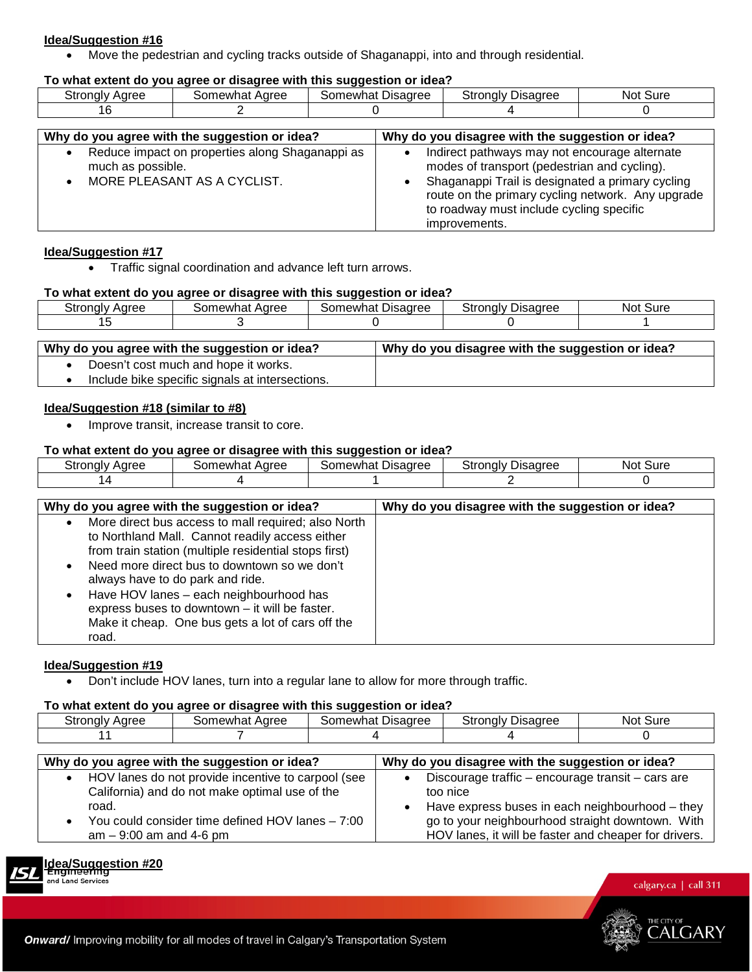• Move the pedestrian and cycling tracks outside of Shaganappi, into and through residential.

#### **To what extent do you agree or disagree with this suggestion or idea?**

| stronaly<br>Aaree | Aaree<br>Somewhat | Disagree<br>sor<br>newhat | Stronaly<br>Disadree | Sure<br><b>NOL</b> |
|-------------------|-------------------|---------------------------|----------------------|--------------------|
|                   |                   |                           |                      |                    |

| Why do you agree with the suggestion or idea?                                                       | Why do you disagree with the suggestion or idea?                                                                                                                                                                                                                    |
|-----------------------------------------------------------------------------------------------------|---------------------------------------------------------------------------------------------------------------------------------------------------------------------------------------------------------------------------------------------------------------------|
| Reduce impact on properties along Shaganappi as<br>much as possible.<br>MORE PLEASANT AS A CYCLIST. | Indirect pathways may not encourage alternate<br>modes of transport (pedestrian and cycling).<br>Shaganappi Trail is designated a primary cycling<br>route on the primary cycling network. Any upgrade<br>to roadway must include cycling specific<br>improvements. |

#### **Idea/Suggestion #17**

• Traffic signal coordination and advance left turn arrows.

#### **To what extent do you agree or disagree with this suggestion or idea?**

| Stronalv<br>Aaree | Aaree<br>∴∩m<br>าewhat | --<br>$\sim$<br>Disagree<br>omewhat. | Ptronaly ∟<br><b>Jisadree</b> | Sure<br>Not |
|-------------------|------------------------|--------------------------------------|-------------------------------|-------------|
|                   |                        |                                      |                               |             |
|                   |                        |                                      |                               |             |

| Why do you agree with the suggestion or idea? | Why do you disagree with the suggestion or idea? |
|-----------------------------------------------|--------------------------------------------------|
| Doesn't cost much and hope it works.          |                                                  |

• Include bike specific signals at intersections.

# **Idea/Suggestion #18 (similar to #8)**

• Improve transit, increase transit to core.

# **To what extent do you agree or disagree with this suggestion or idea?**

| Stronalv<br>Aaree | Somewhat<br>Aaree | Somewhat<br>Disagree | --<br>Stronalv<br>) sagree | ∵Sure<br>Not. |
|-------------------|-------------------|----------------------|----------------------------|---------------|
|                   |                   |                      |                            |               |

| Why do you agree with the suggestion or idea?                                                                                                                                                                                                                                                                                                                                                                                                         | Why do you disagree with the suggestion or idea? |
|-------------------------------------------------------------------------------------------------------------------------------------------------------------------------------------------------------------------------------------------------------------------------------------------------------------------------------------------------------------------------------------------------------------------------------------------------------|--------------------------------------------------|
| More direct bus access to mall required; also North<br>$\bullet$<br>to Northland Mall. Cannot readily access either<br>from train station (multiple residential stops first)<br>Need more direct bus to downtown so we don't<br>$\bullet$<br>always have to do park and ride.<br>Have HOV lanes - each neighbourhood has<br>$\bullet$<br>express buses to downtown - it will be faster.<br>Make it cheap. One bus gets a lot of cars off the<br>road. |                                                  |

#### **Idea/Suggestion #19**

• Don't include HOV lanes, turn into a regular lane to allow for more through traffic.

# **To what extent do you agree or disagree with this suggestion or idea?**

| <b>Strongly Agree</b>                                                                                                                                                                        | Somewhat Agree |  | Somewhat Disagree                                                                                                                                                    | <b>Strongly Disagree</b>                              | Not Sure |
|----------------------------------------------------------------------------------------------------------------------------------------------------------------------------------------------|----------------|--|----------------------------------------------------------------------------------------------------------------------------------------------------------------------|-------------------------------------------------------|----------|
|                                                                                                                                                                                              |                |  |                                                                                                                                                                      |                                                       |          |
|                                                                                                                                                                                              |                |  |                                                                                                                                                                      |                                                       |          |
| Why do you agree with the suggestion or idea?                                                                                                                                                |                |  |                                                                                                                                                                      | Why do you disagree with the suggestion or idea?      |          |
| HOV lanes do not provide incentive to carpool (see<br>$\bullet$<br>California) and do not make optimal use of the<br>road.<br>You could consider time defined HOV lanes $-7:00$<br>$\bullet$ |                |  | Discourage traffic - encourage transit - cars are<br>too nice<br>Have express buses in each neighbourhood – they<br>go to your neighbourhood straight downtown. With |                                                       |          |
| $am - 9:00$ am and 4-6 pm                                                                                                                                                                    |                |  |                                                                                                                                                                      | HOV lanes, it will be faster and cheaper for drivers. |          |



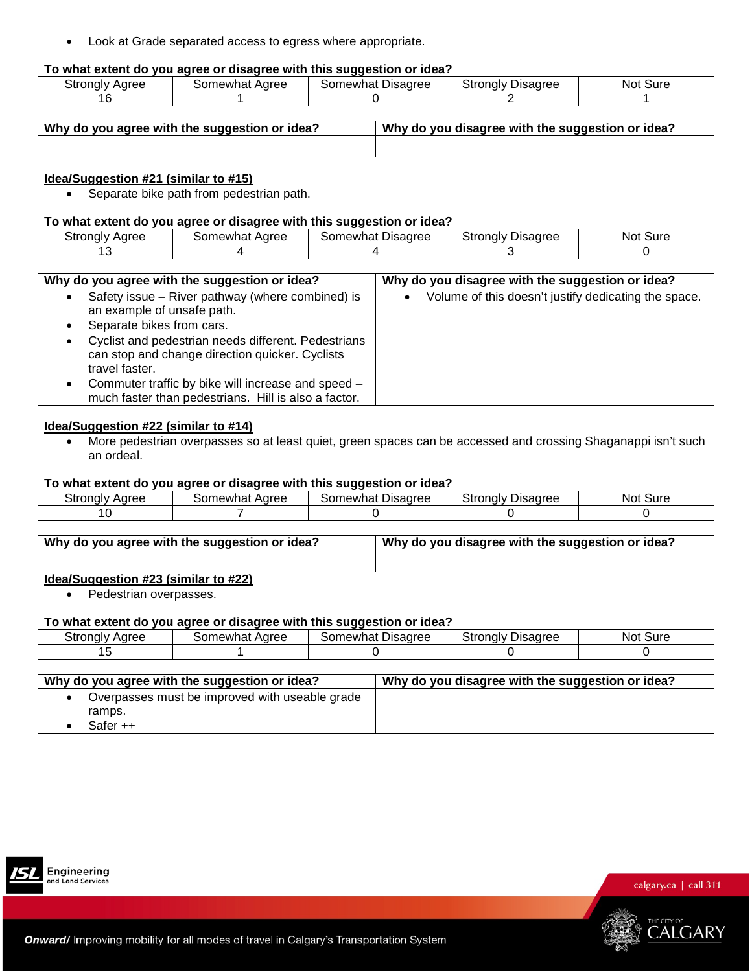• Look at Grade separated access to egress where appropriate.

#### **To what extent do you agree or disagree with this suggestion or idea?**

|                        |                                  | . .                       |                                             |              |
|------------------------|----------------------------------|---------------------------|---------------------------------------------|--------------|
| Adree<br>nalv<br>י וט. | . Aaree<br><br>าewi<br>ωr<br>наг | Disagree<br>าewnat<br>∍or | ີ <sup>+</sup> rongly ∟.<br><b>Jisagree</b> | Sure<br>NOL. |
|                        |                                  |                           |                                             |              |
|                        |                                  |                           |                                             |              |

| Why do you agree with the suggestion or idea? | Why do you disagree with the suggestion or idea? |
|-----------------------------------------------|--------------------------------------------------|
|                                               |                                                  |

#### **Idea/Suggestion #21 (similar to #15)**

• Separate bike path from pedestrian path.

# **To what extent do you agree or disagree with this suggestion or idea?**

| Stronalv | Aaree                | Disagree | Stronalv | Sure |
|----------|----------------------|----------|----------|------|
| Aaree    | Somewhat <sub></sub> | Somewhat | Disagree | Not. |
|          |                      |          |          |      |

| Why do you agree with the suggestion or idea?                                                                            | Why do you disagree with the suggestion or idea?     |
|--------------------------------------------------------------------------------------------------------------------------|------------------------------------------------------|
| Safety issue - River pathway (where combined) is<br>an example of unsafe path.                                           | Volume of this doesn't justify dedicating the space. |
| Separate bikes from cars.                                                                                                |                                                      |
| Cyclist and pedestrian needs different. Pedestrians<br>can stop and change direction quicker. Cyclists<br>travel faster. |                                                      |
| Commuter traffic by bike will increase and speed -<br>much faster than pedestrians. Hill is also a factor.               |                                                      |

# **Idea/Suggestion #22 (similar to #14)**

• More pedestrian overpasses so at least quiet, green spaces can be accessed and crossing Shaganappi isn't such an ordeal.

#### **To what extent do you agree or disagree with this suggestion or idea?**

| Stronaly | Aaree    | Disagree | Strongly | Sure |
|----------|----------|----------|----------|------|
| Aaree    | somewhat | Somewhat | Jisaaree | Not. |
|          |          |          |          |      |

| Why do you agree with the suggestion or idea? | Why do you disagree with the suggestion or idea? |
|-----------------------------------------------|--------------------------------------------------|
|                                               |                                                  |

# **Idea/Suggestion #23 (similar to #22)**

• Pedestrian overpasses.

#### **To what extent do you agree or disagree with this suggestion or idea?**

| Stronglv | Somewhat | Disagree | Strongly | Not. |
|----------|----------|----------|----------|------|
| Aaree    | Aaree    | Somewhat | Jisaaree | Sure |
|          |          |          |          |      |

| Overpasses must be improved with useable grade<br>ramps. | Why do you agree with the suggestion or idea? | Why do you disagree with the suggestion or idea? |
|----------------------------------------------------------|-----------------------------------------------|--------------------------------------------------|
|                                                          | Safer ++                                      |                                                  |



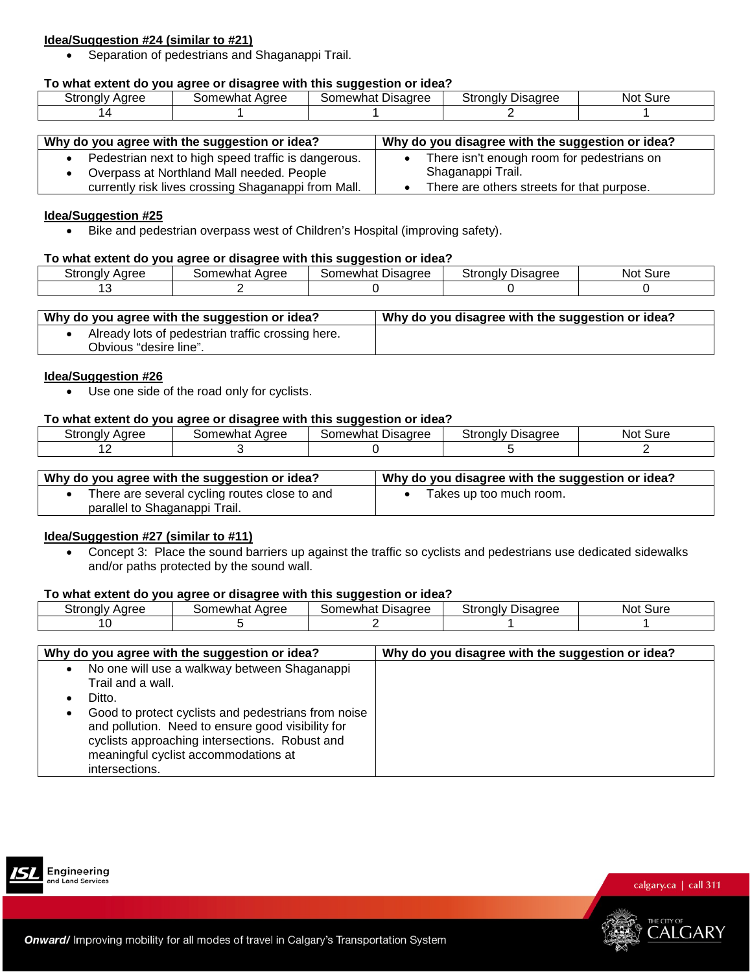# **Idea/Suggestion #24 (similar to #21)**

• Separation of pedestrians and Shaganappi Trail.

# **To what extent do you agree or disagree with this suggestion or idea?**

| .<br>Aaree<br>stronglyل | Aaree<br>าewhat<br>orد | - -<br>Disagree<br>`orد<br>newha | Strongly<br><b>Disadree</b> | Sure<br>Not |
|-------------------------|------------------------|----------------------------------|-----------------------------|-------------|
|                         |                        |                                  |                             |             |

| Why do you agree with the suggestion or idea?       | Why do you disagree with the suggestion or idea? |
|-----------------------------------------------------|--------------------------------------------------|
| Pedestrian next to high speed traffic is dangerous. | There isn't enough room for pedestrians on       |
| Overpass at Northland Mall needed. People           | Shaganappi Trail.                                |
| currently risk lives crossing Shaganappi from Mall. | There are others streets for that purpose.       |

#### **Idea/Suggestion #25**

• Bike and pedestrian overpass west of Children's Hospital (improving safety).

# **To what extent do you agree or disagree with this suggestion or idea?**

| strongly ن<br>Aaree | Aaree<br>Somewhat | Disagree<br>newhat<br>sor | Stronaly<br><b>Disagree</b> | -<br>Sure<br>NOL. |
|---------------------|-------------------|---------------------------|-----------------------------|-------------------|
|                     |                   |                           |                             |                   |

| Why do you agree with the suggestion or idea?     | Why do you disagree with the suggestion or idea? |
|---------------------------------------------------|--------------------------------------------------|
| Already lots of pedestrian traffic crossing here. |                                                  |
| Obvious "desire line".                            |                                                  |

# **Idea/Suggestion #26**

• Use one side of the road only for cyclists.

# **To what extent do you agree or disagree with this suggestion or idea?**

| Stronaly<br>Aaree | newhat<br>Aaree<br>$\sim$ | Disagree<br>newhat | Stronalv<br>Jisaaree | Sure<br>Not |
|-------------------|---------------------------|--------------------|----------------------|-------------|
| . .               |                           |                    |                      |             |

| Why do you agree with the suggestion or idea? | Why do you disagree with the suggestion or idea? |
|-----------------------------------------------|--------------------------------------------------|
| There are several cycling routes close to and | Takes up too much room.                          |
| parallel to Shaganappi Trail.                 |                                                  |

# **Idea/Suggestion #27 (similar to #11)**

• Concept 3: Place the sound barriers up against the traffic so cyclists and pedestrians use dedicated sidewalks and/or paths protected by the sound wall.

# **To what extent do you agree or disagree with this suggestion or idea?**

| Strongly | Aaree  | Disagree  | Stronalv | <b>Not</b> |
|----------|--------|-----------|----------|------------|
| Aaree    | mewhat | ക്കണewhat | Disadree | Sure       |
|          |        |           |          |            |

| Why do you agree with the suggestion or idea?                                                                                                                                                                                                                                                                                 | Why do you disagree with the suggestion or idea? |
|-------------------------------------------------------------------------------------------------------------------------------------------------------------------------------------------------------------------------------------------------------------------------------------------------------------------------------|--------------------------------------------------|
| No one will use a walkway between Shaganappi<br>$\bullet$<br>Trail and a wall.<br>Ditto.<br>Good to protect cyclists and pedestrians from noise<br>$\bullet$<br>and pollution. Need to ensure good visibility for<br>cyclists approaching intersections. Robust and<br>meaningful cyclist accommodations at<br>intersections. |                                                  |



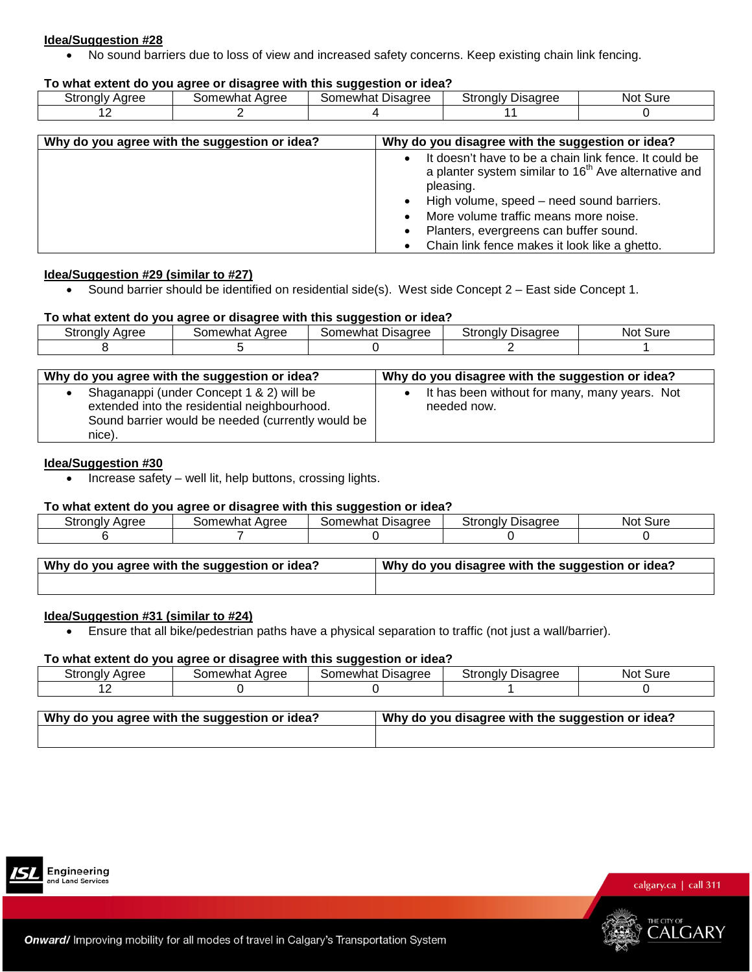• No sound barriers due to loss of view and increased safety concerns. Keep existing chain link fencing.

#### **To what extent do you agree or disagree with this suggestion or idea?**

| Strongly<br>Aaree | Aaree<br>ാറി<br>newhat | - -<br>-<br>Disagree<br>ാറി<br>∩ewhat | $\mathbf{r}$<br><b>Disadree</b><br>۔ tronglyٹ | Sure<br>Not |
|-------------------|------------------------|---------------------------------------|-----------------------------------------------|-------------|
|                   |                        |                                       |                                               |             |

| Why do you agree with the suggestion or idea? | Why do you disagree with the suggestion or idea?                                                                                                                                                                                                                                                                                                       |
|-----------------------------------------------|--------------------------------------------------------------------------------------------------------------------------------------------------------------------------------------------------------------------------------------------------------------------------------------------------------------------------------------------------------|
|                                               | It doesn't have to be a chain link fence. It could be<br>$\bullet$<br>a planter system similar to 16 <sup>th</sup> Ave alternative and<br>pleasing.<br>High volume, speed - need sound barriers.<br>$\bullet$<br>More volume traffic means more noise.<br>Planters, evergreens can buffer sound.<br>٠<br>Chain link fence makes it look like a ghetto. |

#### **Idea/Suggestion #29 (similar to #27)**

• Sound barrier should be identified on residential side(s). West side Concept 2 – East side Concept 1.

#### **To what extent do you agree or disagree with this suggestion or idea?**

| Stronalv | Somewhat | Disagree   | Strongly | Sure |
|----------|----------|------------|----------|------|
| Aaree    | Aaree    | Somewhat ' | Disagree | Not  |
|          |          |            |          |      |

| Why do you agree with the suggestion or idea?                                                                                                           | Why do you disagree with the suggestion or idea?             |
|---------------------------------------------------------------------------------------------------------------------------------------------------------|--------------------------------------------------------------|
| Shaganappi (under Concept 1 & 2) will be<br>extended into the residential neighbourhood.<br>Sound barrier would be needed (currently would be<br>nice). | It has been without for many, many years. Not<br>needed now. |

#### **Idea/Suggestion #30**

• Increase safety – well lit, help buttons, crossing lights.

#### **To what extent do you agree or disagree with this suggestion or idea?**

| Stronaly | somewhat Aɑree | Disagree | Stronalv | ` Sur∈ |
|----------|----------------|----------|----------|--------|
| Aaree    |                | Somewhat | Disagree | Not '  |
|          |                |          |          |        |

| <b>Nhy do you agree with the suggestion or idea?</b> | Why do you disagree with the suggestion or idea? |
|------------------------------------------------------|--------------------------------------------------|
|                                                      |                                                  |

# **Idea/Suggestion #31 (similar to #24)**

• Ensure that all bike/pedestrian paths have a physical separation to traffic (not just a wall/barrier).

#### **To what extent do you agree or disagree with this suggestion or idea?**

|                   |                       | --                               |                                          |              |
|-------------------|-----------------------|----------------------------------|------------------------------------------|--------------|
| stronalv<br>Aaree | Aaree<br>.iew'<br>nat | Disagree<br>Somewhat<br>$\cdots$ | <sup>⊸</sup> tronalv ∟<br>Disagree<br>ΟU | Sure<br>Not. |
|                   |                       |                                  |                                          |              |

| Why do you agree with the suggestion or idea? | Why do you disagree with the suggestion or idea? |
|-----------------------------------------------|--------------------------------------------------|
|                                               |                                                  |



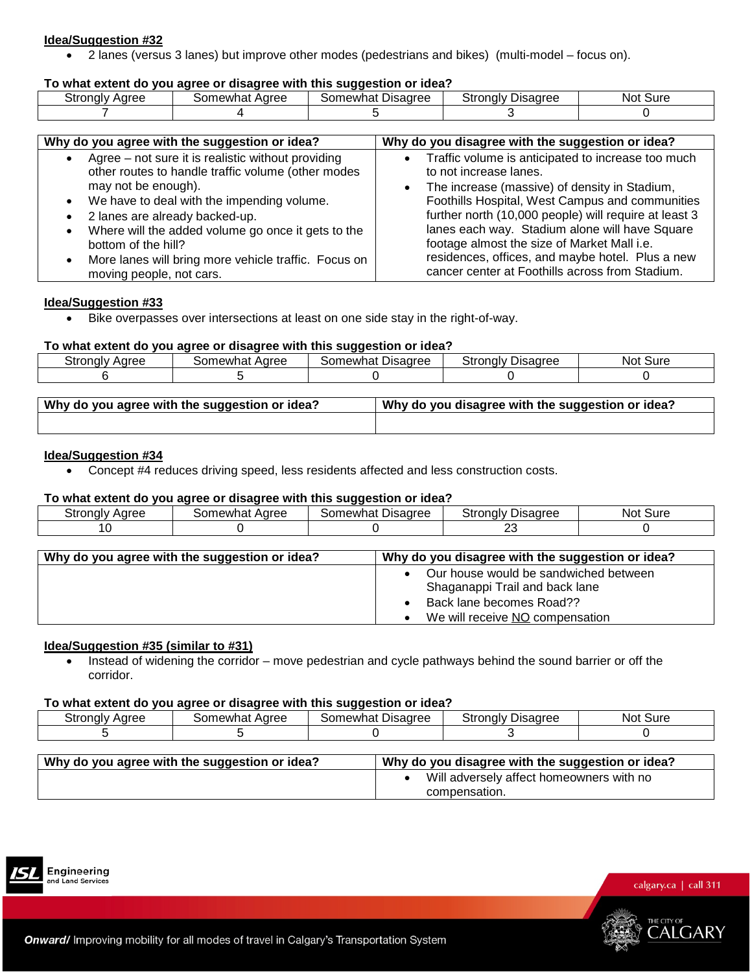• 2 lanes (versus 3 lanes) but improve other modes (pedestrians and bikes) (multi-model – focus on).

#### **To what extent do you agree or disagree with this suggestion or idea?**

|                   |                        | .                    |                           |              |
|-------------------|------------------------|----------------------|---------------------------|--------------|
| strongly<br>Aaree | ∩ewhat<br>Aaree<br>omد | Disagree<br>Somewhat | -<br>Stronalv<br>Disagree | ∵Sure<br>Not |
|                   |                        |                      |                           |              |

| Why do you agree with the suggestion or idea?                                                                                                                                                                                                                                                                                                                                                                             | Why do you disagree with the suggestion or idea?                                                                                                                                                                                                                                                                                                                                                                                                  |
|---------------------------------------------------------------------------------------------------------------------------------------------------------------------------------------------------------------------------------------------------------------------------------------------------------------------------------------------------------------------------------------------------------------------------|---------------------------------------------------------------------------------------------------------------------------------------------------------------------------------------------------------------------------------------------------------------------------------------------------------------------------------------------------------------------------------------------------------------------------------------------------|
| Agree - not sure it is realistic without providing<br>other routes to handle traffic volume (other modes<br>may not be enough).<br>• We have to deal with the impending volume.<br>2 lanes are already backed-up.<br>$\bullet$<br>Where will the added volume go once it gets to the<br>$\bullet$<br>bottom of the hill?<br>More lanes will bring more vehicle traffic. Focus on<br>$\bullet$<br>moving people, not cars. | Traffic volume is anticipated to increase too much<br>to not increase lanes.<br>The increase (massive) of density in Stadium,<br>Foothills Hospital, West Campus and communities<br>further north (10,000 people) will require at least 3<br>lanes each way. Stadium alone will have Square<br>footage almost the size of Market Mall i.e.<br>residences, offices, and maybe hotel. Plus a new<br>cancer center at Foothills across from Stadium. |

#### **Idea/Suggestion #33**

• Bike overpasses over intersections at least on one side stay in the right-of-way.

#### **To what extent do you agree or disagree with this suggestion or idea?**

| .787<br>. unalv r<br>$\sim$ $\sim$ $\sim$ | Agree<br>---<br>ำewnฉ.<br>Ë | sagree<br>`ewha.<br>Disa | .<br>. <b>.</b><br>nalv.<br>ບເ<br><br> | . Sur<br>NOT |
|-------------------------------------------|-----------------------------|--------------------------|----------------------------------------|--------------|
|                                           |                             |                          |                                        |              |

| Why do you agree with the suggestion or idea? | Why do you disagree with the suggestion or idea? |
|-----------------------------------------------|--------------------------------------------------|
|                                               |                                                  |

# **Idea/Suggestion #34**

• Concept #4 reduces driving speed, less residents affected and less construction costs.

#### **To what extent do you agree or disagree with this suggestion or idea?**

|                   |                   | . .                  |                       |             |
|-------------------|-------------------|----------------------|-----------------------|-------------|
| Aaree<br>`stronal | Aaree<br>≾omewhat | Disagree<br>Somewhat | ∵strongly<br>Disaαree | Sure<br>NOt |
|                   |                   |                      | n r<br>∼              |             |

| Why do you agree with the suggestion or idea? | Why do you disagree with the suggestion or idea?                                                                                       |
|-----------------------------------------------|----------------------------------------------------------------------------------------------------------------------------------------|
|                                               | Our house would be sandwiched between<br>Shaganappi Trail and back lane<br>Back lane becomes Road??<br>We will receive NO compensation |

#### **Idea/Suggestion #35 (similar to #31)**

• Instead of widening the corridor – move pedestrian and cycle pathways behind the sound barrier or off the corridor.

#### **To what extent do you agree or disagree with this suggestion or idea?**

| ~<br>.<br>Aaree<br>วแ<br>⊶u⊔u. | Aaree<br>some <sup>,</sup><br>าewnat | Disagree<br>newhat | Stronaly<br>Disagree<br>. . | .<br>Not<br>oure |
|--------------------------------|--------------------------------------|--------------------|-----------------------------|------------------|
|                                |                                      |                    |                             |                  |

| Why do you agree with the suggestion or idea? | Why do you disagree with the suggestion or idea?          |
|-----------------------------------------------|-----------------------------------------------------------|
|                                               | Will adversely affect homeowners with no<br>compensation. |





THE CITY O

ALGARY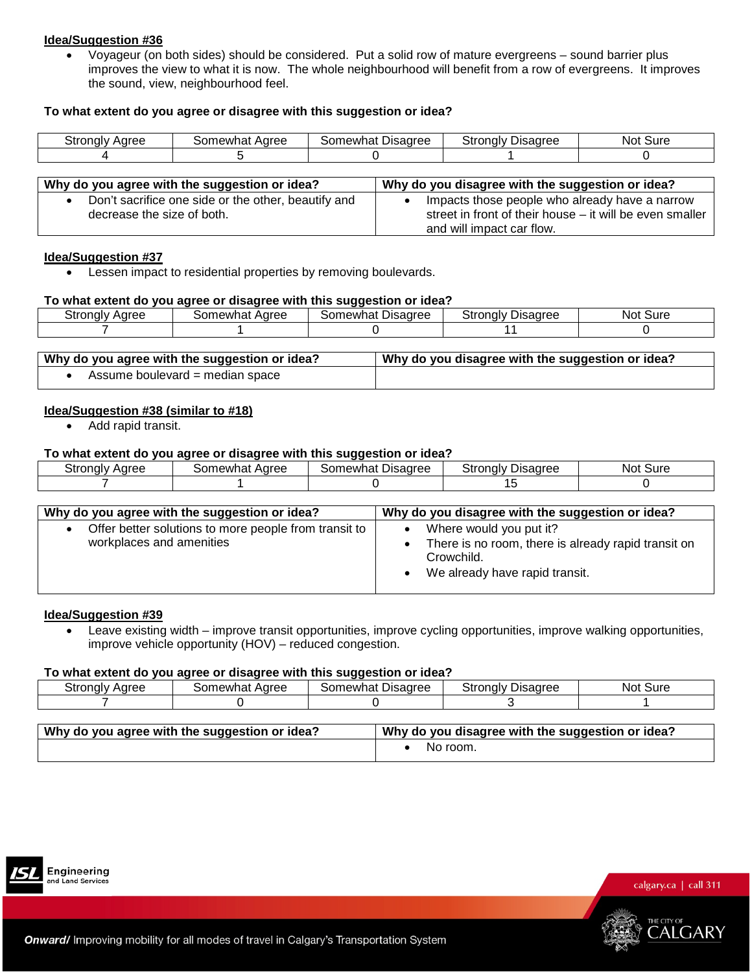• Voyageur (on both sides) should be considered. Put a solid row of mature evergreens – sound barrier plus improves the view to what it is now. The whole neighbourhood will benefit from a row of evergreens. It improves the sound, view, neighbourhood feel.

# **To what extent do you agree or disagree with this suggestion or idea?**

| $\sim$<br>.<br>. .ulv<br>.<br>w<br>י וטו | $\sim$ $\sim$ $\sim$<br>∵∩mewn…<br>наг<br>ושר | - -<br>Jisaaree<br>$\sim$ $\sim$<br>…wh∽<br>וו זר<br>. تص<br>- ا<br>. . | $\sim$<br>ำๆalv ∟<br>Jisaaree<br>⊔ت<br>$\cdots$ | 3ur<br>NOt |
|------------------------------------------|-----------------------------------------------|-------------------------------------------------------------------------|-------------------------------------------------|------------|
|                                          |                                               |                                                                         |                                                 |            |

| Why do you agree with the suggestion or idea?                                     | Why do you disagree with the suggestion or idea?                                                                                        |
|-----------------------------------------------------------------------------------|-----------------------------------------------------------------------------------------------------------------------------------------|
| Don't sacrifice one side or the other, beautify and<br>decrease the size of both. | Impacts those people who already have a narrow<br>street in front of their house – it will be even smaller<br>and will impact car flow. |

#### **Idea/Suggestion #37**

• Lessen impact to residential properties by removing boulevards.

#### **To what extent do you agree or disagree with this suggestion or idea?**

| Aaree<br>stronalv | Somewhat<br>Aaree | Disagree<br>som<br>mewhat | stronaly<br>Disadree | Sure<br>NOL |
|-------------------|-------------------|---------------------------|----------------------|-------------|
|                   |                   |                           |                      |             |

| Why do you agree with the suggestion or idea? | Why do you disagree with the suggestion or idea? |
|-----------------------------------------------|--------------------------------------------------|
| Assume boulevard = median space               |                                                  |

#### **Idea/Suggestion #38 (similar to #18)**

• Add rapid transit.

#### **To what extent do you agree or disagree with this suggestion or idea?**

| Stronaly | ⊰omewhat | Somewhat | Ptronaly ∟ | Sure |
|----------|----------|----------|------------|------|
| Aaree    | Aaree    | Disagree | Disaaree   | Not  |
|          |          |          | .          |      |

| Why do you agree with the suggestion or idea?                                     | Why do you disagree with the suggestion or idea?                                                                               |
|-----------------------------------------------------------------------------------|--------------------------------------------------------------------------------------------------------------------------------|
| Offer better solutions to more people from transit to<br>workplaces and amenities | Where would you put it?<br>There is no room, there is already rapid transit on<br>Crowchild.<br>We already have rapid transit. |

#### **Idea/Suggestion #39**

• Leave existing width – improve transit opportunities, improve cycling opportunities, improve walking opportunities, improve vehicle opportunity (HOV) – reduced congestion.

#### **To what extent do you agree or disagree with this suggestion or idea?**

|                                                                                                                        |                              |  | . . |  |  |
|------------------------------------------------------------------------------------------------------------------------|------------------------------|--|-----|--|--|
| <b>Disagree</b><br><b>Disagree</b><br>Strongly D<br>Stronalv<br>Somewhat<br>Not.<br>3omewhat<br>Agree<br>Sure<br>Aaree |                              |  |     |  |  |
|                                                                                                                        |                              |  |     |  |  |
|                                                                                                                        |                              |  |     |  |  |
|                                                                                                                        | $\mathbf{u}$<br>$\mathbf{u}$ |  |     |  |  |

| Why do you agree with the suggestion or idea? | Why do you disagree with the suggestion or idea? |
|-----------------------------------------------|--------------------------------------------------|
|                                               | No room.                                         |



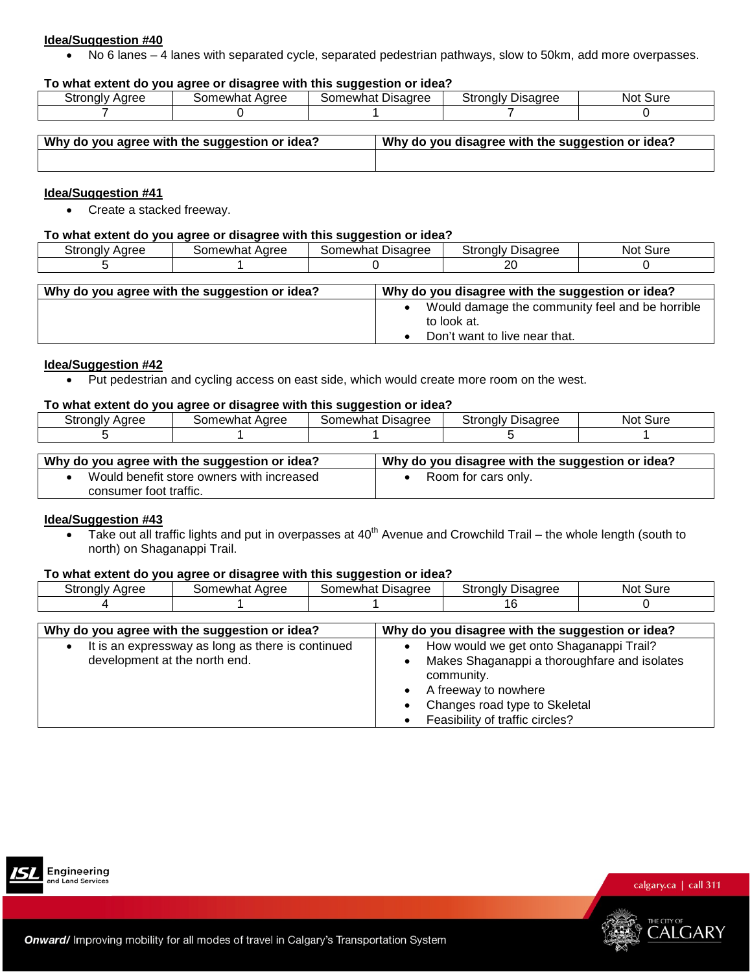• No 6 lanes – 4 lanes with separated cycle, separated pedestrian pathways, slow to 50km, add more overpasses.

#### **To what extent do you agree or disagree with this suggestion or idea?**

| َ tronaly د<br><b>Aaree</b> | Aaree<br>าewha. | -<br>Disagree<br>newha | Stronaly<br><b>Disagrer</b><br>auree | Sure<br>NOt |
|-----------------------------|-----------------|------------------------|--------------------------------------|-------------|
|                             |                 |                        |                                      |             |

| Why do you agree with the suggestion or idea? | Why do you disagree with the suggestion or idea? |
|-----------------------------------------------|--------------------------------------------------|
|                                               |                                                  |
|                                               |                                                  |

#### **Idea/Suggestion #41**

• Create a stacked freeway.

#### **To what extent do you agree or disagree with this suggestion or idea?**

| \aree<br>∵ronalvد<br>nur. | Aaree<br>$ \sim$ $\sim$<br>าewhat | --<br>Disagree<br>newhat | ⊇tronalv∶<br>Disaαree<br>ΟU | suro<br>NOt |
|---------------------------|-----------------------------------|--------------------------|-----------------------------|-------------|
|                           |                                   |                          | ״<br>∼                      |             |

| Why do you agree with the suggestion or idea? | Why do you disagree with the suggestion or idea?               |
|-----------------------------------------------|----------------------------------------------------------------|
|                                               | Would damage the community feel and be horrible<br>to look at. |
|                                               | Don't want to live near that.                                  |

#### **Idea/Suggestion #42**

• Put pedestrian and cycling access on east side, which would create more room on the west.

# **To what extent do you agree or disagree with this suggestion or idea?**

| -<br>strongly<br>Aaree | Aaree<br>omewhat | Disagree<br>ാomewhat | $\overline{\phantom{0}}$<br>Ptronaly ∟<br>שaree | Sure<br>Not |
|------------------------|------------------|----------------------|-------------------------------------------------|-------------|
|                        |                  |                      |                                                 |             |

| Why do you agree with the suggestion or idea? | Why do you disagree with the suggestion or idea? |
|-----------------------------------------------|--------------------------------------------------|
| Would benefit store owners with increased     | Room for cars only.                              |
| consumer foot traffic.                        |                                                  |

# **Idea/Suggestion #43**

• Take out all traffic lights and put in overpasses at 40<sup>th</sup> Avenue and Crowchild Trail – the whole length (south to north) on Shaganappi Trail.

#### **To what extent do you agree or disagree with this suggestion or idea?**

| Strongly Agree | Somewhat Agree                                | Somewhat Disagree | <b>Strongly Disagree</b>                         | Not Sure |  |
|----------------|-----------------------------------------------|-------------------|--------------------------------------------------|----------|--|
|                |                                               |                   | 16                                               |          |  |
|                |                                               |                   |                                                  |          |  |
|                | Why do you agree with the suggestion or idea? |                   | Why do you disagree with the suggestion or idea? |          |  |

| It is an expressway as long as there is continued<br>development at the north end. | How would we get onto Shaganappi Trail?<br>Makes Shaganappi a thoroughfare and isolates<br>community.<br>A freeway to nowhere<br>Changes road type to Skeletal |
|------------------------------------------------------------------------------------|----------------------------------------------------------------------------------------------------------------------------------------------------------------|
|                                                                                    |                                                                                                                                                                |
|                                                                                    | Feasibility of traffic circles?                                                                                                                                |



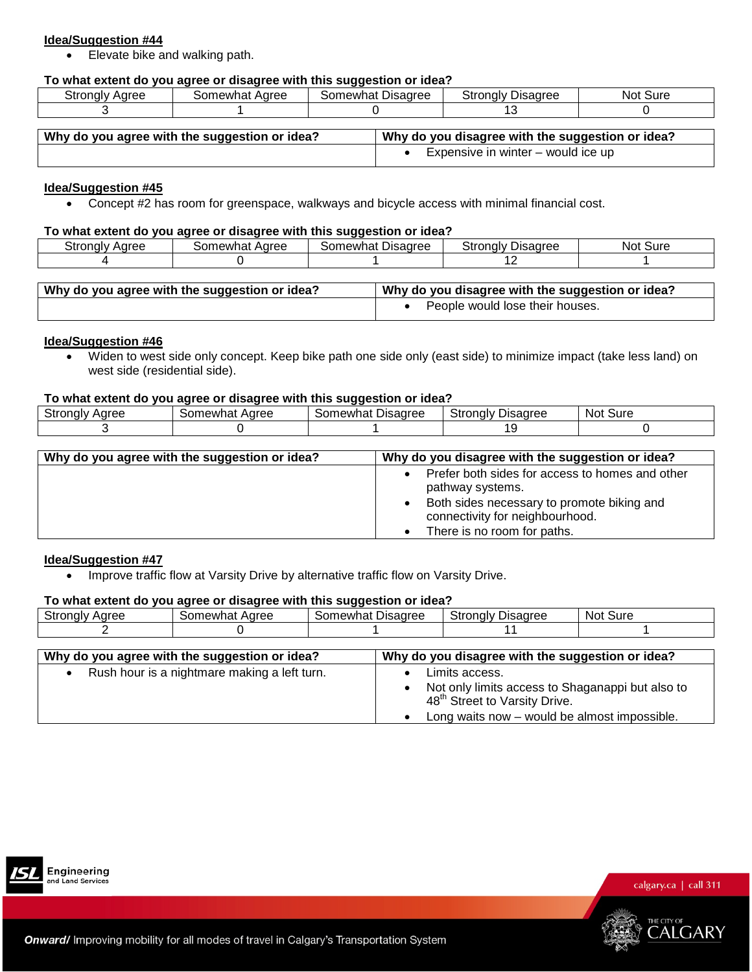• Elevate bike and walking path.

# **To what extent do you agree or disagree with this suggestion or idea?**

| Strongly<br>Aaree | Aaree<br>$\sim$<br>newhat<br>וו זר | Disagree<br>Somewhat | $\sim$ $\sim$ $\sim$ $\sim$ $\sim$<br>Disadree<br>' tronaly۔ | Sure<br>Not |
|-------------------|------------------------------------|----------------------|--------------------------------------------------------------|-------------|
|                   |                                    |                      |                                                              |             |

| Why do you agree with the suggestion or idea? | Why do you disagree with the suggestion or idea? |
|-----------------------------------------------|--------------------------------------------------|
|                                               | Expensive in winter – would ice up               |

# **Idea/Suggestion #45**

• Concept #2 has room for greenspace, walkways and bicycle access with minimal financial cost.

#### **To what extent do you agree or disagree with this suggestion or idea?**

| Stronalv<br>Aaree | Aaree<br>newhat | --<br>Disagree<br>stomewhat | Stronalv<br><b>Disadree</b> | Sure<br>NOT. |
|-------------------|-----------------|-----------------------------|-----------------------------|--------------|
|                   |                 |                             | . .                         |              |

| $\frac{1}{2}$ Why do you agree with the suggestion or idea? | Why do you disagree with the suggestion or idea? |
|-------------------------------------------------------------|--------------------------------------------------|
|                                                             | People would lose their houses.                  |

#### **Idea/Suggestion #46**

• Widen to west side only concept. Keep bike path one side only (east side) to minimize impact (take less land) on west side (residential side).

#### **To what extent do you agree or disagree with this suggestion or idea?**

|                                                                     |                                                    | . .                                                                    |                                                                                        |                   |
|---------------------------------------------------------------------|----------------------------------------------------|------------------------------------------------------------------------|----------------------------------------------------------------------------------------|-------------------|
| . .<br>$\sim$ $\sim$ $\sim$<br>.,<br>-<br>ΟU<br>4 H 3<br>iui<br>. . | $\sim$ $\sim$ $\sim$<br>$\ldots$ outer<br>. v<br>. | -<br>------<br>.<br>$\overline{\phantom{a}}$<br>newr<br>п<br>ונור<br>. | $\overline{\phantom{a}}$<br>ъ.<br>anroc<br>--<br>١c<br>⊀Л<br>Oli<br><b>IGIV</b><br>ם ש | Sure<br><b>NO</b> |
|                                                                     |                                                    |                                                                        |                                                                                        |                   |
|                                                                     |                                                    |                                                                        |                                                                                        |                   |

| Why do you agree with the suggestion or idea? | Why do you disagree with the suggestion or idea?                                                                                                                                    |
|-----------------------------------------------|-------------------------------------------------------------------------------------------------------------------------------------------------------------------------------------|
|                                               | Prefer both sides for access to homes and other<br>pathway systems.<br>Both sides necessary to promote biking and<br>connectivity for neighbourhood.<br>There is no room for paths. |

#### **Idea/Suggestion #47**

• Improve traffic flow at Varsity Drive by alternative traffic flow on Varsity Drive.

#### **To what extent do you agree or disagree with this suggestion or idea?**

|                       |                                               | .                 |                                                                                                                 |          |
|-----------------------|-----------------------------------------------|-------------------|-----------------------------------------------------------------------------------------------------------------|----------|
| <b>Strongly Agree</b> | Somewhat Agree                                | Somewhat Disagree | <b>Strongly Disagree</b>                                                                                        | Not Sure |
|                       |                                               |                   |                                                                                                                 |          |
|                       |                                               |                   |                                                                                                                 |          |
|                       | Why do you agree with the suggestion or idea? |                   | Why do you disagree with the suggestion or idea?                                                                |          |
|                       | Rush hour is a nightmare making a left turn.  |                   | Limits access.<br>Not only limits access to Shaganappi but also to<br>48 <sup>th</sup> Street to Varsity Drive. |          |